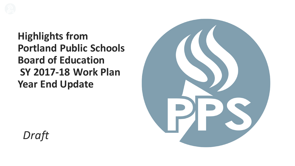

**Highlights from Portland Public Schools Board of Education SY 2017-18 Work Plan**  Year End Update



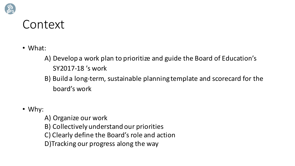

### Context

• What: 

A) Develop a work plan to prioritize and guide the Board of Education's SY2017-18 's work

B) Build a long-term, sustainable planning template and scorecard for the board's work

- Why:
	- A) Organize our work
	- B) Collectively understand our priorities
	- C) Clearly define the Board's role and action
	- D)Tracking our progress along the way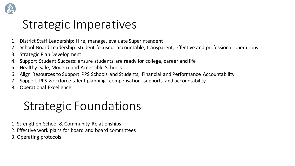

## Strategic Imperatives

- 1. District Staff Leadership: Hire, manage, evaluate Superintendent
- School Board Leadership: student focused, accountable, transparent, effective and professional operations
- 3. Strategic Plan Development
- 4. Support Student Success: ensure students are ready for college, career and life
- 5. Healthy, Safe, Modern and Accessible Schools
- 6. Align Resources to Support PPS Schools and Students; Financial and Performance Accountability
- Support PPS workforce talent planning, compensation, supports and accountability
- 8. Operational Excellence

# Strategic Foundations

- 1. Strengthen School & Community Relationships
- 2. Effective work plans for board and board committees
- 3. Operating protocols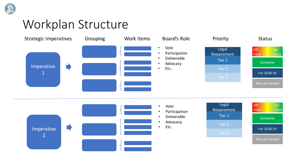

## Workplan Structure

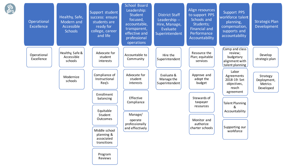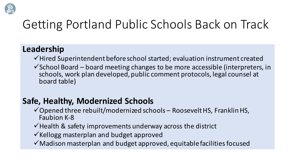

#### **Leadership**

 $\checkmark$  Hired Superintendent before school started; evaluation instrument created

 $\checkmark$  School Board – board meeting changes to be more accessible (interpreters, in schools, work plan developed, public comment protocols, legal counsel at board table)

### **Safe, Healthy, Modernized Schools**

- $\checkmark$  Opened three rebuilt/modernized schools Roosevelt HS, Franklin HS, Faubion K-8
- $\checkmark$  Health & safety improvements underway across the district

 $\checkmark$  Kellogg masterplan and budget approved

 $\checkmark$  Madison masterplan and budget approved, equitable facilities focused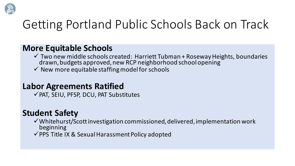

#### **More Equitable Schools**

- $\checkmark$  Two new middle schools created: Harriett Tubman + Roseway Heights, boundaries drawn, budgets approved, new RCP neighborhood school opening
- $\checkmark$  New more equitable staffing model for schools

#### **Labor Agreements Ratified**

 $\checkmark$  PAT, SEIU, PFSP, DCU, PAT Substitutes

### **Student Safety**

- $\checkmark$  Whitehurst/Scott investigation commissioned, delivered, implementation work beginning
- $\checkmark$  PPS Title IX & Sexual Harassment Policy adopted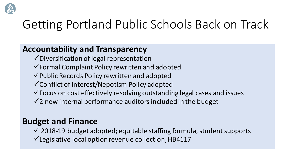

### **Accountability and Transparency**

- $\checkmark$  Diversification of legal representation
- $\checkmark$  Formal Complaint Policy rewritten and adopted
- $\checkmark$  Public Records Policy rewritten and adopted
- $\checkmark$  Conflict of Interest/Nepotism Policy adopted
- $\checkmark$  Focus on cost effectively resolving outstanding legal cases and issues
- $\checkmark$  2 new internal performance auditors included in the budget

### **Budget and Finance**

 $\checkmark$  2018-19 budget adopted; equitable staffing formula, student supports  $\checkmark$  Legislative local option revenue collection, HB4117